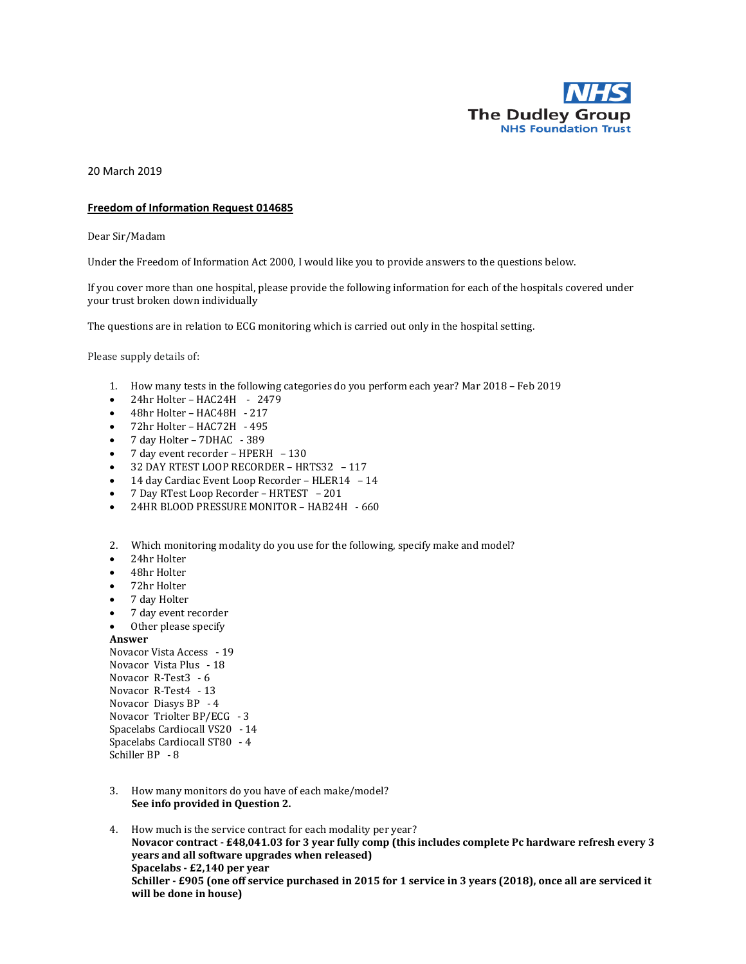

20 March 2019

## **Freedom of Information Request 014685**

Dear Sir/Madam

Under the Freedom of Information Act 2000, I would like you to provide answers to the questions below.

If you cover more than one hospital, please provide the following information for each of the hospitals covered under your trust broken down individually

The questions are in relation to ECG monitoring which is carried out only in the hospital setting.

Please supply details of:

- 1. How many tests in the following categories do you perform each year? Mar 2018 Feb 2019
- $\bullet$  24hr Holter HAC24H 2479
- 48hr Holter HAC48H 217
- 72hr Holter HAC72H 495
- 7 day Holter 7DHAC 389
- 7 day event recorder HPERH 130
- 32 DAY RTEST LOOP RECORDER HRTS32 117
- 14 day Cardiac Event Loop Recorder HLER14 14
- 7 Day RTest Loop Recorder HRTEST 201
- 24HR BLOOD PRESSURE MONITOR HAB24H 660
- 2. Which monitoring modality do you use for the following, specify make and model?
- 24hr Holter
- 48hr Holter
- 72hr Holter
- 7 day Holter
- 7 day event recorder
- Other please specify

## **Answer**

Novacor Vista Access - 19 Novacor Vista Plus - 18 Novacor R-Test3 - 6 Novacor R-Test4 - 13 Novacor Diasys BP - 4 Novacor Triolter BP/ECG - 3 Spacelabs Cardiocall VS20 - 14 Spacelabs Cardiocall ST80 - 4 Schiller BP - 8

- 3. How many monitors do you have of each make/model? **See info provided in Question 2.**
- 4. How much is the service contract for each modality per year? **Novacor contract - £48,041.03 for 3 year fully comp (this includes complete Pc hardware refresh every 3 years and all software upgrades when released) Spacelabs - £2,140 per year Schiller - £905 (one off service purchased in 2015 for 1 service in 3 years (2018), once all are serviced it will be done in house)**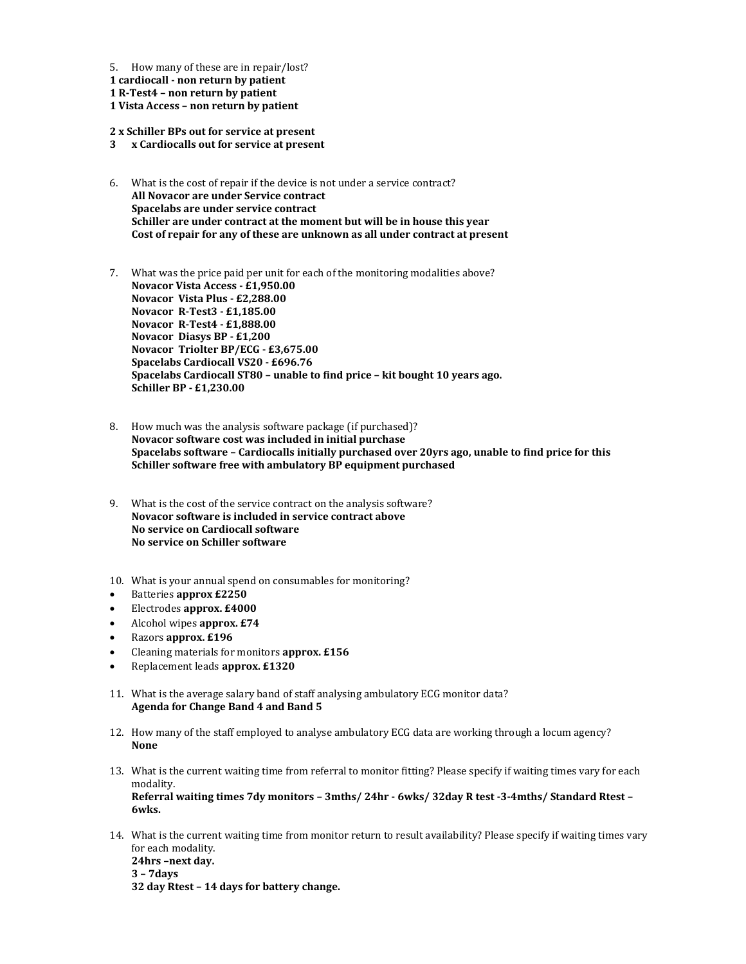5. How many of these are in repair/lost?

**1 cardiocall - non return by patient**

**1 R-Test4 – non return by patient**

**1 Vista Access – non return by patient**

**2 x Schiller BPs out for service at present**

- **3 x Cardiocalls out for service at present**
- 6. What is the cost of repair if the device is not under a service contract? **All Novacor are under Service contract Spacelabs are under service contract Schiller are under contract at the moment but will be in house this year Cost of repair for any of these are unknown as all under contract at present**
- 7. What was the price paid per unit for each of the monitoring modalities above? **Novacor Vista Access - £1,950.00 Novacor Vista Plus - £2,288.00 Novacor R-Test3 - £1,185.00 Novacor R-Test4 - £1,888.00 Novacor Diasys BP - £1,200 Novacor Triolter BP/ECG - £3,675.00 Spacelabs Cardiocall VS20 - £696.76 Spacelabs Cardiocall ST80 – unable to find price – kit bought 10 years ago. Schiller BP - £1,230.00**
- 8. How much was the analysis software package (if purchased)? **Novacor software cost was included in initial purchase Spacelabs software – Cardiocalls initially purchased over 20yrs ago, unable to find price for this Schiller software free with ambulatory BP equipment purchased**
- 9. What is the cost of the service contract on the analysis software? **Novacor software is included in service contract above No service on Cardiocall software No service on Schiller software**
- 10. What is your annual spend on consumables for monitoring?
- Batteries **approx £2250**
- Electrodes **approx. £4000**
- Alcohol wipes **approx. £74**
- Razors **approx. £196**
- Cleaning materials for monitors **approx. £156**
- Replacement leads **approx. £1320**
- 11. What is the average salary band of staff analysing ambulatory ECG monitor data? **Agenda for Change Band 4 and Band 5**
- 12. How many of the staff employed to analyse ambulatory ECG data are working through a locum agency? **None**
- 13. What is the current waiting time from referral to monitor fitting? Please specify if waiting times vary for each modality. **Referral waiting times 7dy monitors – 3mths/ 24hr - 6wks/ 32day R test -3-4mths/ Standard Rtest –**

**6wks.**

14. What is the current waiting time from monitor return to result availability? Please specify if waiting times vary for each modality.

**24hrs –next day. 3 – 7days**

**32 day Rtest – 14 days for battery change.**